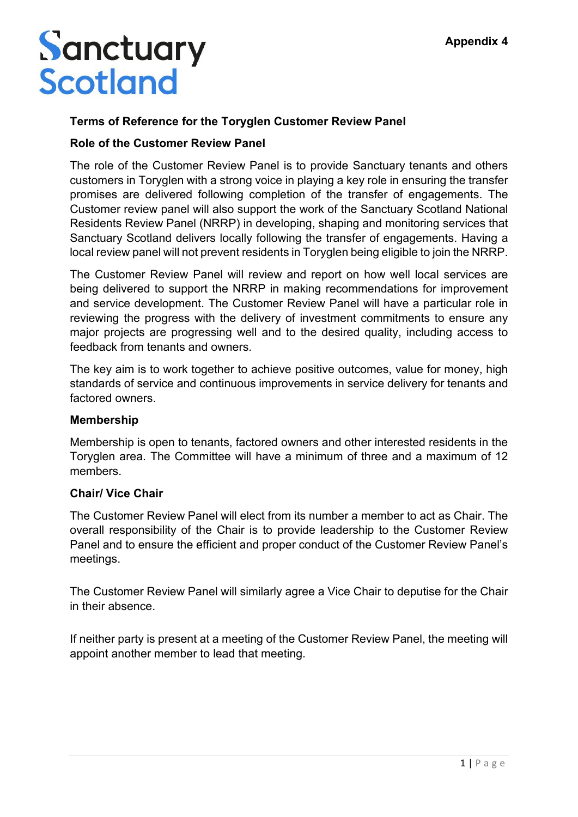## Sanctuary **Scotland**

## **Terms of Reference for the Toryglen Customer Review Panel**

#### **Role of the Customer Review Panel**

The role of the Customer Review Panel is to provide Sanctuary tenants and others customers in Toryglen with a strong voice in playing a key role in ensuring the transfer promises are delivered following completion of the transfer of engagements. The Customer review panel will also support the work of the Sanctuary Scotland National Residents Review Panel (NRRP) in developing, shaping and monitoring services that Sanctuary Scotland delivers locally following the transfer of engagements. Having a local review panel will not prevent residents in Toryglen being eligible to join the NRRP.

The Customer Review Panel will review and report on how well local services are being delivered to support the NRRP in making recommendations for improvement and service development. The Customer Review Panel will have a particular role in reviewing the progress with the delivery of investment commitments to ensure any major projects are progressing well and to the desired quality, including access to feedback from tenants and owners.

The key aim is to work together to achieve positive outcomes, value for money, high standards of service and continuous improvements in service delivery for tenants and factored owners.

#### **Membership**

Membership is open to tenants, factored owners and other interested residents in the Toryglen area. The Committee will have a minimum of three and a maximum of 12 members.

#### **Chair/ Vice Chair**

The Customer Review Panel will elect from its number a member to act as Chair. The overall responsibility of the Chair is to provide leadership to the Customer Review Panel and to ensure the efficient and proper conduct of the Customer Review Panel's meetings.

The Customer Review Panel will similarly agree a Vice Chair to deputise for the Chair in their absence.

If neither party is present at a meeting of the Customer Review Panel, the meeting will appoint another member to lead that meeting.